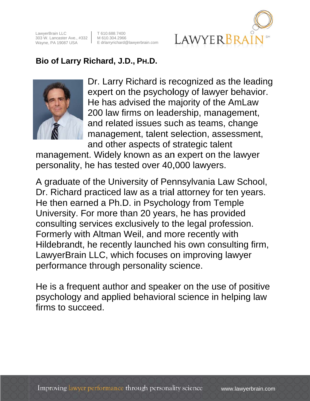LawyerBrain LLC 303 W. Lancaster Ave., #332 Wayne, PA 19087 USA

T 610.688.7400 M 610.304.2966 E drlarryrichard@lawyerbrain.com



## Bio of Larry Richard, J.D., PH.D.



Dr. Larry Richard is recognized as the leading expert on the psychology of lawyer behavior. He has advised the majority of the AmLaw 200 law firms on leadership, management, and related issues such as teams, change management, talent selection, assessment, and other aspects of strategic talent

management. Widely known as an expert on the lawyer personality, he has tested over 40,000 lawyers.

A graduate of the University of Pennsylvania Law School, Dr. Richard practiced law as a trial attorney for ten years. He then earned a Ph.D. in Psychology from Temple University. For more than 20 years, he has provided consulting services exclusively to the legal profession. Formerly with Altman Weil, and more recently with Hildebrandt, he recently launched his own consulting firm, LawyerBrain LLC, which focuses on improving lawyer performance through personality science.

He is a frequent author and speaker on the use of positive psychology and applied behavioral science in helping law firms to succeed.